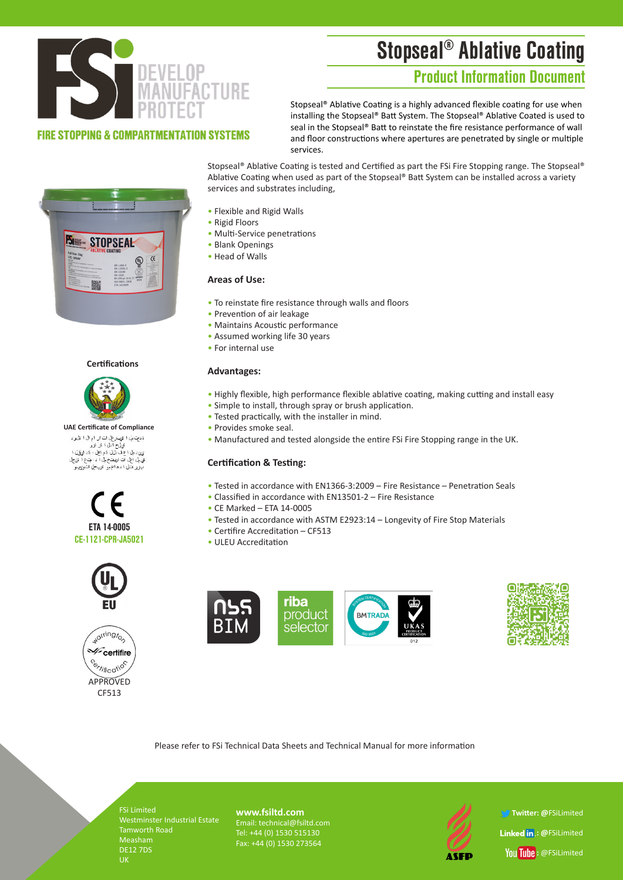# Stopseal® Ablative Coating

## Product Information Document



### **FIRE STOPPING & COMPARTMENTATION SYSTEMS**

Stopseal® Ablative Coating is a highly advanced flexible coating for use when installing the Stopseal® Batt System. The Stopseal® Ablative Coated is used to seal in the Stopseal® Batt to reinstate the fire resistance performance of wall and floor constructions where apertures are penetrated by single or multiple services.



#### **Certifications**



**UAE Certificate of Compliance**ةد**م**ِت بْيْ ا ڤِهِيتر عِلْ اتْ ار ام ال ا قل<sub>ا</sub>و د دیپ بې، ۱ توپیرین ت ان ۶ م ان ۱ دری<br>ټون د بل اع ف دلیل دَم اعل ، دَد لویق ا<br>ټون د بل اع ف دلیل دَم اعل ، دَد لویق ا<br>ټوپل اعلی ات اربیتیح بل ا د ، بټخ اکتوریبو







Stopseal® Ablative Coating is tested and Certified as part the FSi Fire Stopping range. The Stopseal® Ablative Coating when used as part of the Stopseal® Batt System can be installed across a variety services and substrates including,

- Flexible and Rigid Walls
- Rigid Floors
- Multi-Service penetrations
- Blank Openings
- Head of Walls

#### **Areas of Use:**

- To reinstate fire resistance through walls and floors
- Prevention of air leakage
- Maintains Acoustic performance
- Assumed working life 30 years
- For internal use

#### **Advantages:**

- Highly flexible, high performance flexible ablative coating, making cutting and install easy
- Simple to install, through spray or brush application.
- Tested practically, with the installer in mind.
- Provides smoke seal.
- Manufactured and tested alongside the entire FSi Fire Stopping range in the UK.

#### **Certification & Testing:**

- Tested in accordance with EN1366-3:2009 Fire Resistance Penetration Seals
- Classified in accordance with EN13501-2 Fire Resistance
- CE Marked ETA 14-0005
- Tested in accordance with ASTM E2923:14 Longevity of Fire Stop Materials
- Certifire Accreditation CF513
- ULEU Accreditation





Please refer to FSi Technical Data Sheets and Technical Manual for more information

FSi Limited Westminster Industrial Estate Tamworth Road DE12 7DS

**www.fsiltd.com** Email: technical@fsiltd.com Tel: +44 (0) 1530 515130 Fax: +44 (0) 1530 273564



 **Twitter: @**FSiLimited **Linked in: @FSiLimited** You Tube: @FSiLimited